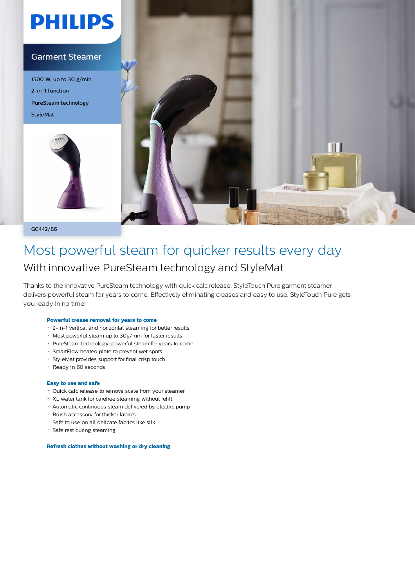# **PHILIPS**

#### Garment Steamer

1500 W, up to 30 g/min 2-in-1 function PureSteam technology StyleMat





GC442/86

### Most powerful steam for quicker results every day With innovative PureSteam technology and StyleMat

Thanks to the innovative PureSteam technology with quick calc release, StyleTouch Pure garment steamer delivers powerful steam for years to come. Effectively eliminating creases and easy to use, StyleTouch Pure gets you ready in no time!

#### **Powerful crease removal for years to come**

- 2-in-1 vertical and horizontal steaming for better results
- Most powerful steam up to 30g/min for faster results
- PureSteam technology: powerful steam for years to come
- SmartFlow heated plate to prevent wet spots
- StyleMat provides support for final crisp touch
- Ready in 60 seconds

#### **Easy to use and safe**

- Quick calc release to remove scale from your steamer
- XL water tank for carefree steaming without refill
- Automatic continuous steam delivered by electric pump
- Brush accessory for thicker fabrics
- Safe to use on all delicate fabrics like silk
- Safe rest during steaming

**Refresh clothes without washing or dry cleaning**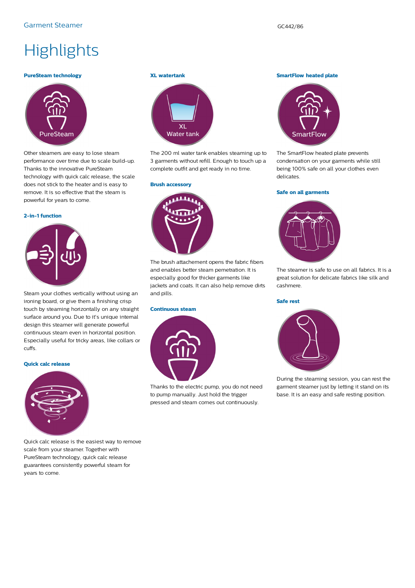## **Highlights**

#### **PureSteam technology**



Other steamers are easy to lose steam performance over time due to scale build-up. Thanks to the innovative PureSteam technology with quick calc release, the scale does not stick to the heater and is easy to remove. It is so effective that the steam is powerful for years to come.

#### **2-in-1 function**



Steam your clothes vertically without using an ironing board, or give them a finishing crisp touch by steaming horizontally on any straight surface around you. Due to it's unique internal design this steamer will generate powerful continuous steam even in horizontal position. Especially useful for tricky areas, like collars or cuffs.

#### **Quick calc release**



Quick calc release is the easiest way to remove scale from your steamer. Together with PureSteam technology, quick calc release guarantees consistently powerful steam for years to come.

#### **XL watertank**



The 200 ml water tank enables steaming up to 3 garments without refill. Enough to touch up a complete outfit and get ready in no time.

#### **Brush accessory**



The brush attachement opens the fabric fibers and enables better steam pemetration. It is especially good for thicker garments like jackets and coats. It can also help remove dirts and pills.

#### **Continuous steam**



Thanks to the electric pump, you do not need to pump manually. Just hold the trigger pressed and steam comes out continuously.

**SmartFlow heated plate**



The SmartFlow heated plate prevents condensation on your garments while still being 100% safe on all your clothes even delicates.

#### **Safe on all garments**



The steamer is safe to use on all fabrics. It is a great solution for delicate fabrics like silk and cashmere.

#### **Safe rest**



During the steaming session, you can rest the garment steamer just by letting it stand on its base. It is an easy and safe resting position.